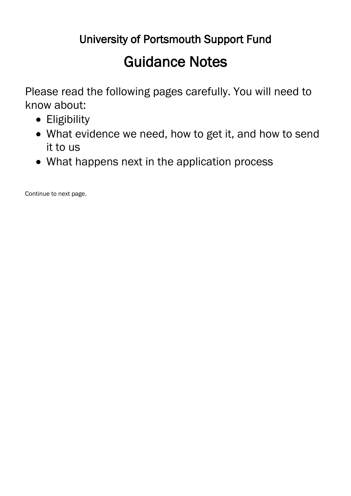# University of Portsmouth Support Fund

# Guidance Notes

Please read the following pages carefully. You will need to know about:

- Eligibility
- What evidence we need, how to get it, and how to send it to us
- What happens next in the application process

Continue to next page.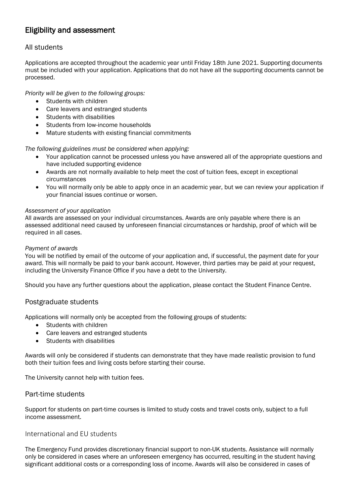# Eligibility and assessment

## All students

Applications are accepted throughout the academic year until Friday 18th June 2021. Supporting documents must be included with your application. Applications that do not have all the supporting documents cannot be processed.

*Priority will be given to the following groups:*

- Students with children
- Care leavers and estranged students
- Students with disabilities
- Students from low-income households
- Mature students with existing financial commitments

*The following guidelines must be considered when applying:*

- Your application cannot be processed unless you have answered all of the appropriate questions and have included supporting evidence
- Awards are not normally available to help meet the cost of tuition fees, except in exceptional circumstances
- You will normally only be able to apply once in an academic year, but we can review your application if your financial issues continue or worsen.

#### *Assessment of your application*

All awards are assessed on your individual circumstances. Awards are only payable where there is an assessed additional need caused by unforeseen financial circumstances or hardship, proof of which will be required in all cases.

#### *Payment of awards*

You will be notified by email of the outcome of your application and, if successful, the payment date for your award. This will normally be paid to your bank account. However, third parties may be paid at your request, including the University Finance Office if you have a debt to the University.

Should you have any further questions about the application, please contact the Student Finance Centre.

#### Postgraduate students

Applications will normally only be accepted from the following groups of students:

- Students with children
- Care leavers and estranged students
- Students with disabilities

Awards will only be considered if students can demonstrate that they have made realistic provision to fund both their tuition fees and living costs before starting their course.

The University cannot help with tuition fees.

#### Part-time students

Support for students on part-time courses is limited to study costs and travel costs only, subject to a full income assessment.

### International and EU students

The Emergency Fund provides discretionary financial support to non-UK students. Assistance will normally only be considered in cases where an unforeseen emergency has occurred, resulting in the student having significant additional costs or a corresponding loss of income. Awards will also be considered in cases of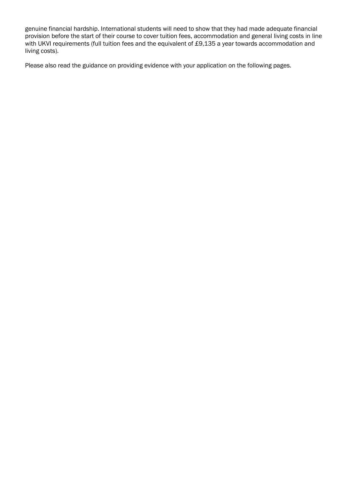genuine financial hardship. International students will need to show that they had made adequate financial provision before the start of their course to cover tuition fees, accommodation and general living costs in line with UKVI requirements (full tuition fees and the equivalent of £9,135 a year towards accommodation and living costs).

Please also read the guidance on providing evidence with your application on the following pages.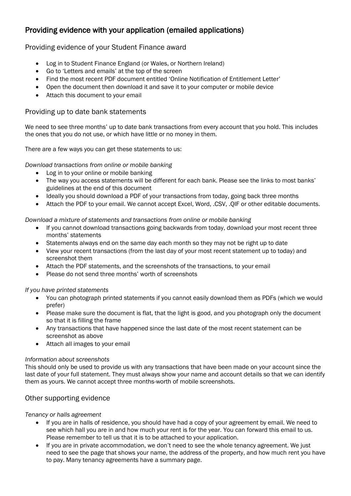# Providing evidence with your application (emailed applications)

## Providing evidence of your Student Finance award

- Log in to Student Finance England (or Wales, or Northern Ireland)
- Go to 'Letters and emails' at the top of the screen
- Find the most recent PDF document entitled 'Online Notification of Entitlement Letter'
- Open the document then download it and save it to your computer or mobile device
- Attach this document to your email

## Providing up to date bank statements

We need to see three months' up to date bank transactions from every account that you hold. This includes the ones that you do not use, or which have little or no money in them.

There are a few ways you can get these statements to us:

*Download transactions from online or mobile banking*

- Log in to your online or mobile banking
- The way you access statements will be different for each bank. Please see the links to most banks' guidelines at the end of this document
- Ideally you should download a PDF of your transactions from today, going back three months
- Attach the PDF to your email. We cannot accept Excel, Word, .CSV, .QIF or other editable documents.

*Download a mixture of statements and transactions from online or mobile banking*

- If you cannot download transactions going backwards from today, download your most recent three months' statements
- Statements always end on the same day each month so they may not be right up to date
- View your recent transactions (from the last day of your most recent statement up to today) and screenshot them
- Attach the PDF statements, and the screenshots of the transactions, to your email
- Please do not send three months' worth of screenshots

*If you have printed statements*

- You can photograph printed statements if you cannot easily download them as PDFs (which we would prefer)
- Please make sure the document is flat, that the light is good, and you photograph only the document so that it is filling the frame
- Any transactions that have happened since the last date of the most recent statement can be screenshot as above
- Attach all images to your email

#### *Information about screenshots*

This should only be used to provide us with any transactions that have been made on your account since the last date of your full statement. They must always show your name and account details so that we can identify them as yours. We cannot accept three months-worth of mobile screenshots.

## Other supporting evidence

#### *Tenancy or halls agreement*

- If you are in halls of residence, you should have had a copy of your agreement by email. We need to see which hall you are in and how much your rent is for the year. You can forward this email to us. Please remember to tell us that it is to be attached to your application.
- If you are in private accommodation, we don't need to see the whole tenancy agreement. We just need to see the page that shows your name, the address of the property, and how much rent you have to pay. Many tenancy agreements have a summary page.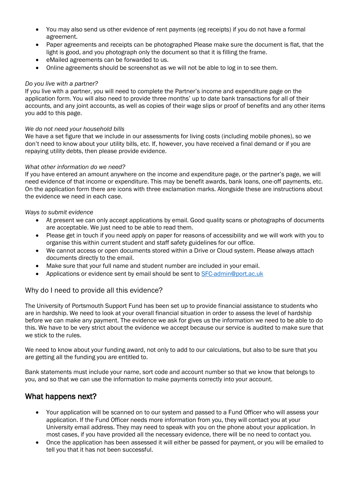- You may also send us other evidence of rent payments (eg receipts) if you do not have a formal agreement.
- Paper agreements and receipts can be photographed Please make sure the document is flat, that the light is good, and you photograph only the document so that it is filling the frame.
- eMailed agreements can be forwarded to us.
- Online agreements should be screenshot as we will not be able to log in to see them.

#### *Do you live with a partner?*

If you live with a partner, you will need to complete the Partner's income and expenditure page on the application form. You will also need to provide three months' up to date bank transactions for all of their accounts, and any joint accounts, as well as copies of their wage slips or proof of benefits and any other items you add to this page.

#### *We do not need your household bills*

We have a set figure that we include in our assessments for living costs (including mobile phones), so we don't need to know about your utility bills, etc. If, however, you have received a final demand or if you are repaying utility debts, then please provide evidence.

#### *What other information do we need?*

If you have entered an amount anywhere on the income and expenditure page, or the partner's page, we will need evidence of that income or expenditure. This may be benefit awards, bank loans, one-off payments, etc. On the application form there are icons with three exclamation marks. Alongside these are instructions about the evidence we need in each case.

#### *Ways to submit evidence*

- At present we can only accept applications by email. Good quality scans or photographs of documents are acceptable. We just need to be able to read them.
- Please get in touch if you need apply on paper for reasons of accessibility and we will work with you to organise this within current student and staff safety guidelines for our office.
- We cannot access or open documents stored within a Drive or Cloud system. Please always attach documents directly to the email.
- Make sure that your full name and student number are included in your email.
- Applications or evidence sent by email should be sent to [SFC-admin@port.ac.uk](mailto:SFC-admin@port.ac.uk)

#### Why do I need to provide all this evidence?

The University of Portsmouth Support Fund has been set up to provide financial assistance to students who are in hardship. We need to look at your overall financial situation in order to assess the level of hardship before we can make any payment. The evidence we ask for gives us the information we need to be able to do this. We have to be very strict about the evidence we accept because our service is audited to make sure that we stick to the rules.

We need to know about your funding award, not only to add to our calculations, but also to be sure that you are getting all the funding you are entitled to.

Bank statements must include your name, sort code and account number so that we know that belongs to you, and so that we can use the information to make payments correctly into your account.

## What happens next?

- Your application will be scanned on to our system and passed to a Fund Officer who will assess your application. If the Fund Officer needs more information from you, they will contact you at your University email address. They may need to speak with you on the phone about your application. In most cases, if you have provided all the necessary evidence, there will be no need to contact you.
- Once the application has been assessed it will either be passed for payment, or you will be emailed to tell you that it has not been successful.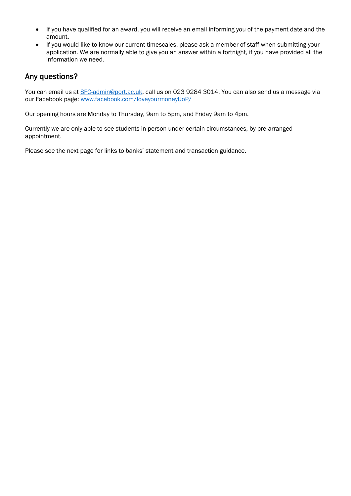- If you have qualified for an award, you will receive an email informing you of the payment date and the amount.
- If you would like to know our current timescales, please ask a member of staff when submitting your application. We are normally able to give you an answer within a fortnight, if you have provided all the information we need.

# Any questions?

You can email us at [SFC-admin@port.ac.uk,](mailto:SFC-admin@port.ac.uk) call us on 023 9284 3014. You can also send us a message via our Facebook page: [www.facebook.com/loveyourmoneyUoP/](http://www.facebook.com/loveyourmoneyUoP/)

Our opening hours are Monday to Thursday, 9am to 5pm, and Friday 9am to 4pm.

Currently we are only able to see students in person under certain circumstances, by pre-arranged appointment.

Please see the next page for links to banks' statement and transaction guidance.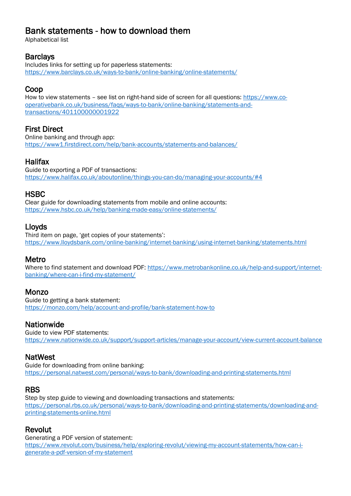# Bank statements - how to download them

Alphabetical list

## **Barclays**

Includes links for setting up for paperless statements: <https://www.barclays.co.uk/ways-to-bank/online-banking/online-statements/>

# Coop

How to view statements – see list on right-hand side of screen for all questions: [https://www.co](https://www.co-operativebank.co.uk/business/faqs/ways-to-bank/online-banking/statements-and-transactions/401100000001922)[operativebank.co.uk/business/faqs/ways-to-bank/online-banking/statements-and](https://www.co-operativebank.co.uk/business/faqs/ways-to-bank/online-banking/statements-and-transactions/401100000001922)[transactions/401100000001922](https://www.co-operativebank.co.uk/business/faqs/ways-to-bank/online-banking/statements-and-transactions/401100000001922)

# First Direct

Online banking and through app: <https://www1.firstdirect.com/help/bank-accounts/statements-and-balances/>

# **Halifax**

Guide to exporting a PDF of transactions: <https://www.halifax.co.uk/aboutonline/things-you-can-do/managing-your-accounts/#4>

## **HSBC**

Clear guide for downloading statements from mobile and online accounts: <https://www.hsbc.co.uk/help/banking-made-easy/online-statements/>

# Lloyds

Third item on page, 'get copies of your statements': <https://www.lloydsbank.com/online-banking/internet-banking/using-internet-banking/statements.html>

## Metro

Where to find statement and download PDF: [https://www.metrobankonline.co.uk/help-and-support/internet](https://www.metrobankonline.co.uk/help-and-support/internet-banking/where-can-i-find-my-statement/)[banking/where-can-i-find-my-statement/](https://www.metrobankonline.co.uk/help-and-support/internet-banking/where-can-i-find-my-statement/)

## Monzo

Guide to getting a bank statement: <https://monzo.com/help/account-and-profile/bank-statement-how-to>

## **Nationwide**

Guide to view PDF statements: <https://www.nationwide.co.uk/support/support-articles/manage-your-account/view-current-account-balance>

## NatWest

Guide for downloading from online banking: <https://personal.natwest.com/personal/ways-to-bank/downloading-and-printing-statements.html>

## RBS

Step by step guide to viewing and downloading transactions and statements: [https://personal.rbs.co.uk/personal/ways-to-bank/downloading-and-printing-statements/downloading-and](https://personal.rbs.co.uk/personal/ways-to-bank/downloading-and-printing-statements/downloading-and-printing-statements-online.html)[printing-statements-online.html](https://personal.rbs.co.uk/personal/ways-to-bank/downloading-and-printing-statements/downloading-and-printing-statements-online.html)

# Revolut

Generating a PDF version of statement: [https://www.revolut.com/business/help/exploring-revolut/viewing-my-account-statements/how-can-i](https://www.revolut.com/business/help/exploring-revolut/viewing-my-account-statements/how-can-i-generate-a-pdf-version-of-my-statement)[generate-a-pdf-version-of-my-statement](https://www.revolut.com/business/help/exploring-revolut/viewing-my-account-statements/how-can-i-generate-a-pdf-version-of-my-statement)